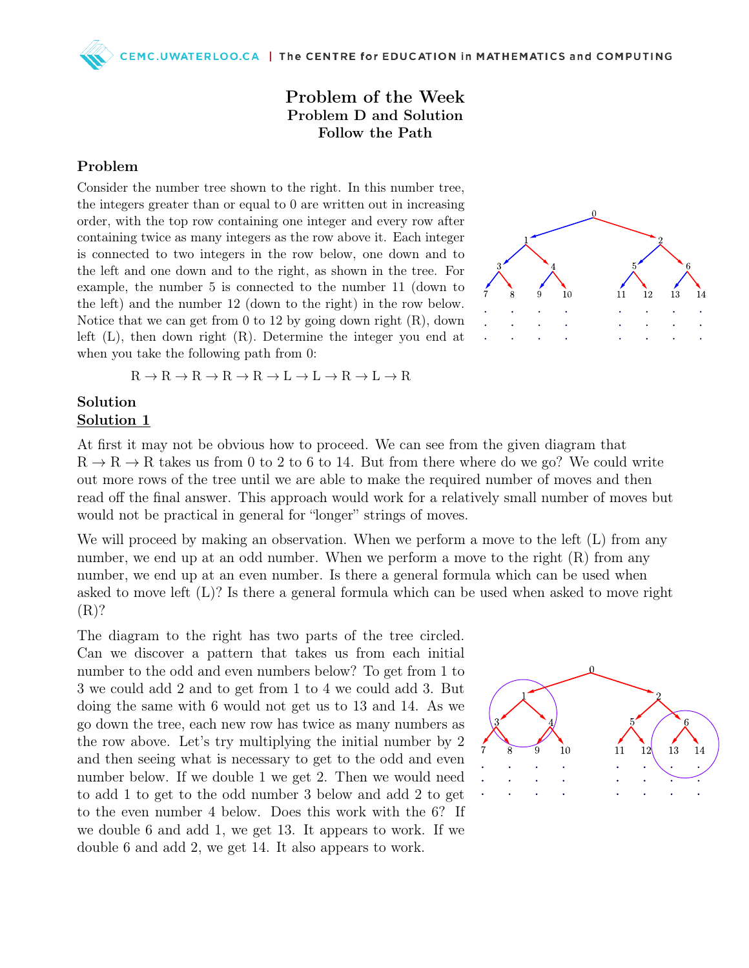### Problem of the Week Problem D and Solution Follow the Path

#### Problem

Consider the number tree shown to the right. In this number tree, the integers greater than or equal to 0 are written out in increasing order, with the top row containing one integer and every row after containing twice as many integers as the row above it. Each integer is connected to two integers in the row below, one down and to the left and one down and to the right, as shown in the tree. For example, the number 5 is connected to the number 11 (down to the left) and the number 12 (down to the right) in the row below. Notice that we can get from 0 to 12 by going down right (R), down left (L), then down right (R). Determine the integer you end at when you take the following path from 0:

 $\Omega$  $\overline{13}$  $11$ 

 $R \to R \to R \to R \to R \to L \to L \to R \to L \to R$ 

#### Solution Solution 1

At first it may not be obvious how to proceed. We can see from the given diagram that  $R \to R \to R$  takes us from 0 to 2 to 6 to 14. But from there where do we go? We could write out more rows of the tree until we are able to make the required number of moves and then read off the final answer. This approach would work for a relatively small number of moves but would not be practical in general for "longer" strings of moves.

We will proceed by making an observation. When we perform a move to the left (L) from any number, we end up at an odd number. When we perform a move to the right  $(R)$  from any number, we end up at an even number. Is there a general formula which can be used when asked to move left (L)? Is there a general formula which can be used when asked to move right (R)?

The diagram to the right has two parts of the tree circled. Can we discover a pattern that takes us from each initial number to the odd and even numbers below? To get from 1 to 3 we could add 2 and to get from 1 to 4 we could add 3. But doing the same with 6 would not get us to 13 and 14. As we go down the tree, each new row has twice as many numbers as the row above. Let's try multiplying the initial number by 2 and then seeing what is necessary to get to the odd and even number below. If we double 1 we get 2. Then we would need to add 1 to get to the odd number 3 below and add 2 to get to the even number 4 below. Does this work with the 6? If we double 6 and add 1, we get 13. It appears to work. If we double 6 and add 2, we get 14. It also appears to work.

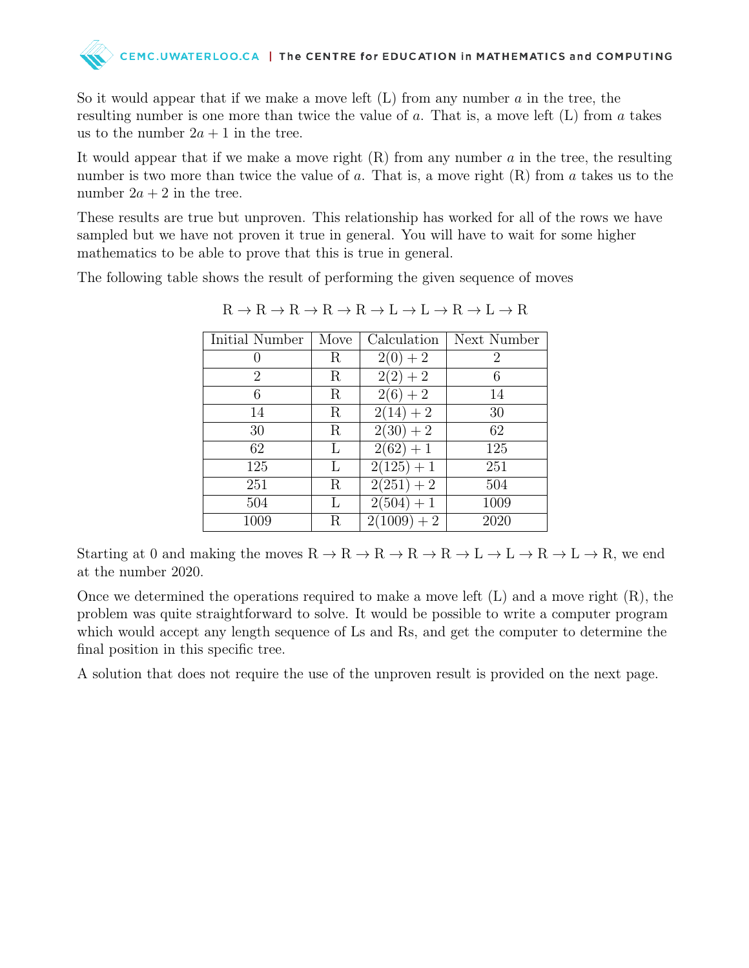# CEMC.UWATERLOO.CA | The CENTRE for EDUCATION in MATHEMATICS and COMPUTING

So it would appear that if we make a move left  $(L)$  from any number a in the tree, the resulting number is one more than twice the value of a. That is, a move left (L) from a takes us to the number  $2a + 1$  in the tree.

It would appear that if we make a move right  $(R)$  from any number a in the tree, the resulting number is two more than twice the value of a. That is, a move right  $(R)$  from a takes us to the number  $2a + 2$  in the tree.

These results are true but unproven. This relationship has worked for all of the rows we have sampled but we have not proven it true in general. You will have to wait for some higher mathematics to be able to prove that this is true in general.

The following table shows the result of performing the given sequence of moves

| Initial Number | Move       | Calculation            | Next Number    |
|----------------|------------|------------------------|----------------|
|                | R          | $2(0) + 2$             | $\overline{2}$ |
| $\overline{2}$ | R          | $2(2) + 2$             | 6              |
| 6              | $_{\rm R}$ | $2(6) + 2$             | 14             |
| 14             | R          | $2(14) + 2$            | 30             |
| 30             | R          | $\overline{2}(30) + 2$ | 62             |
| 62             | L          | $2(62) + 1$            | 125            |
| 125            | L          | $2(125) + 1$           | 251            |
| 251            | R          | $\sqrt{2(251)} + 2$    | 504            |
| 504            | L          | $2(504) + 1$           | 1009           |
| 1009           | R          | $2(1009) + 2$          | 2020           |

 $R \to R \to R \to R \to R \to L \to L \to R \to L \to R$ 

Starting at 0 and making the moves  $R \to R \to R \to R \to R \to L \to L \to R \to L \to R$ , we end at the number 2020.

Once we determined the operations required to make a move left  $(L)$  and a move right  $(R)$ , the problem was quite straightforward to solve. It would be possible to write a computer program which would accept any length sequence of Ls and Rs, and get the computer to determine the final position in this specific tree.

A solution that does not require the use of the unproven result is provided on the next page.